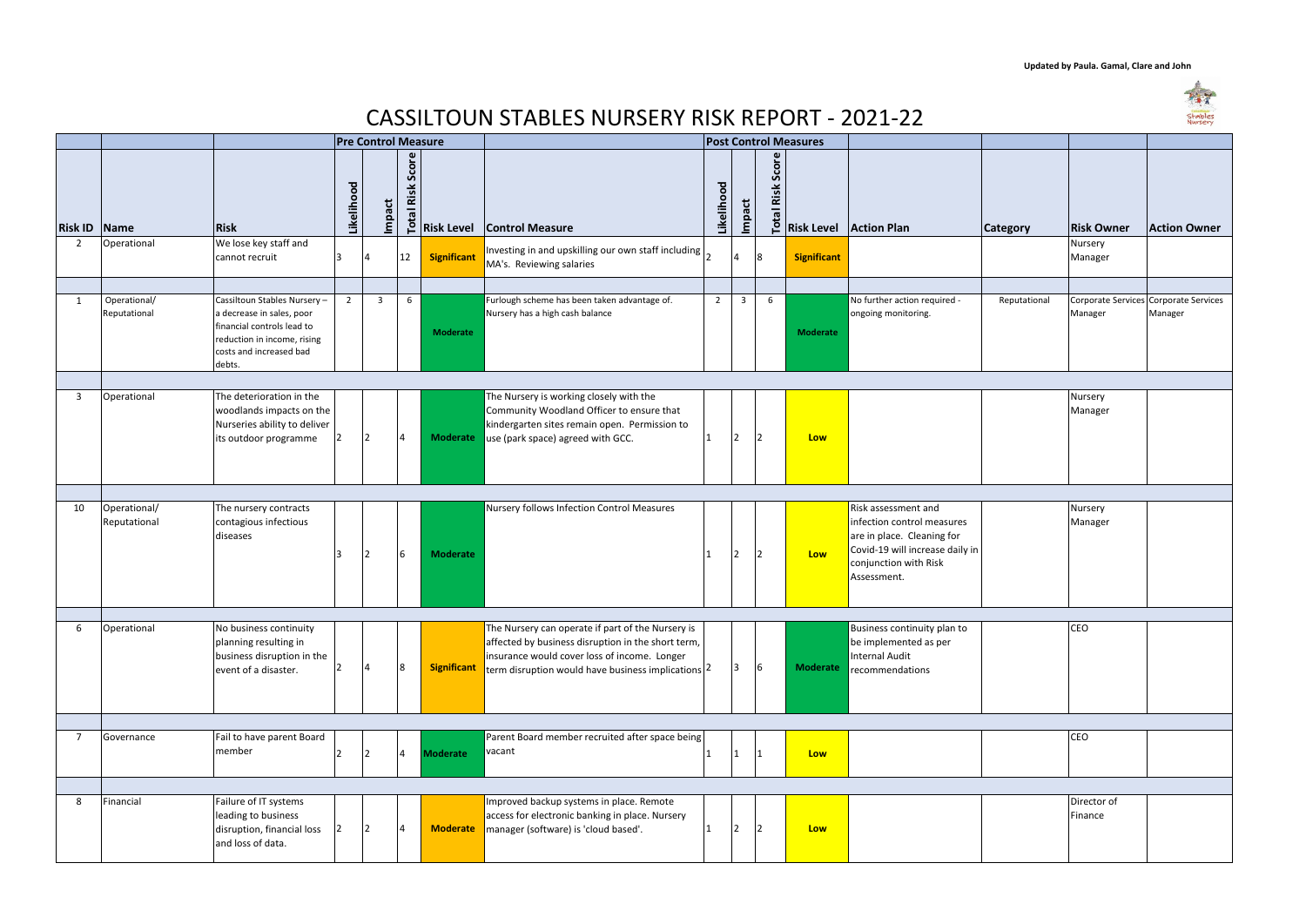| <b>asures</b>      |                                                                                                                                                            |              |                        |                                                  |
|--------------------|------------------------------------------------------------------------------------------------------------------------------------------------------------|--------------|------------------------|--------------------------------------------------|
|                    |                                                                                                                                                            |              |                        |                                                  |
| <b>Risk Level</b>  | <b>Action Plan</b>                                                                                                                                         | Category     | <b>Risk Owner</b>      | <b>Action Owner</b>                              |
| <b>Significant</b> |                                                                                                                                                            |              | Nursery<br>Manager     |                                                  |
|                    |                                                                                                                                                            |              |                        |                                                  |
| <b>Moderate</b>    | No further action required -<br>ongoing monitoring.                                                                                                        | Reputational | Manager                | Corporate Services Corporate Services<br>Manager |
|                    |                                                                                                                                                            |              |                        |                                                  |
| Low                |                                                                                                                                                            |              | Nursery<br>Manager     |                                                  |
|                    |                                                                                                                                                            |              |                        |                                                  |
| Low                | Risk assessment and<br>infection control measures<br>are in place. Cleaning for<br>Covid-19 will increase daily in<br>conjunction with Risk<br>Assessment. |              | Nursery<br>Manager     |                                                  |
|                    |                                                                                                                                                            |              |                        |                                                  |
| <b>Moderate</b>    | Business continuity plan to<br>be implemented as per<br><b>Internal Audit</b><br>recommendations                                                           |              | CEO                    |                                                  |
|                    |                                                                                                                                                            |              |                        |                                                  |
| Low                |                                                                                                                                                            |              | CEO                    |                                                  |
|                    |                                                                                                                                                            |              |                        |                                                  |
| Low                |                                                                                                                                                            |              | Director of<br>Finance |                                                  |

|                |                              | <b>Pre Control Measure</b>                                                                                                                                  |                |                |                               |                    |                                                                                                                                                                                                                   |                |                |                               |                    |                                                                                                                                                            |
|----------------|------------------------------|-------------------------------------------------------------------------------------------------------------------------------------------------------------|----------------|----------------|-------------------------------|--------------------|-------------------------------------------------------------------------------------------------------------------------------------------------------------------------------------------------------------------|----------------|----------------|-------------------------------|--------------------|------------------------------------------------------------------------------------------------------------------------------------------------------------|
| <b>Risk ID</b> | Name                         | <b>Risk</b>                                                                                                                                                 | Likelihood     | Impact         | Score<br>Risk<br><b>Total</b> | <b>Risk Level</b>  | <b>Control Measure</b>                                                                                                                                                                                            | Likelihood     | Impact         | Score<br>Risk<br><b>Total</b> |                    | <b>Risk Level Action Plan</b>                                                                                                                              |
| $\overline{2}$ | Operational                  | We lose key staff and                                                                                                                                       |                |                |                               |                    |                                                                                                                                                                                                                   |                |                |                               |                    |                                                                                                                                                            |
|                |                              | cannot recruit                                                                                                                                              | 3              | $\overline{4}$ | 12                            | <b>Significant</b> | Investing in and upskilling our own staff including<br>MA's. Reviewing salaries                                                                                                                                   |                | $\overline{4}$ | 8                             | <b>Significant</b> |                                                                                                                                                            |
|                |                              |                                                                                                                                                             |                |                |                               |                    |                                                                                                                                                                                                                   |                |                |                               |                    |                                                                                                                                                            |
| $\mathbf{1}$   | Operational/<br>Reputational | Cassiltoun Stables Nursery -<br>a decrease in sales, poor<br>financial controls lead to<br>reduction in income, rising<br>costs and increased bad<br>debts. | $\overline{2}$ | $\overline{3}$ | 6                             | <b>Moderate</b>    | Furlough scheme has been taken advantage of.<br>Nursery has a high cash balance                                                                                                                                   | $\overline{2}$ | $\overline{3}$ | 6                             | <b>Moderate</b>    | No further action required -<br>ongoing monitoring.                                                                                                        |
|                |                              |                                                                                                                                                             |                |                |                               |                    |                                                                                                                                                                                                                   |                |                |                               |                    |                                                                                                                                                            |
| 3              | Operational                  | The deterioration in the<br>woodlands impacts on the<br>Nurseries ability to deliver<br>its outdoor programme                                               |                | 12             | $\overline{4}$                | <b>Moderate</b>    | The Nursery is working closely with the<br>Community Woodland Officer to ensure that<br>kindergarten sites remain open. Permission to<br>use (park space) agreed with GCC.                                        | ∣1             | $\overline{2}$ | 2                             | Low                |                                                                                                                                                            |
|                |                              |                                                                                                                                                             |                |                |                               |                    |                                                                                                                                                                                                                   |                |                |                               |                    |                                                                                                                                                            |
| 10             | Operational/<br>Reputational | The nursery contracts<br>contagious infectious<br>diseases                                                                                                  | Κ              | $\overline{2}$ | 6                             | <b>Moderate</b>    | Nursery follows Infection Control Measures                                                                                                                                                                        |                | $\overline{2}$ | 2                             | <b>Low</b>         | Risk assessment and<br>infection control measures<br>are in place. Cleaning for<br>Covid-19 will increase daily in<br>conjunction with Risk<br>Assessment. |
|                |                              |                                                                                                                                                             |                |                |                               |                    |                                                                                                                                                                                                                   |                |                |                               |                    |                                                                                                                                                            |
| 6              | Operational                  | No business continuity<br>planning resulting in<br>business disruption in the<br>event of a disaster.                                                       | 2              | $\overline{4}$ | 8                             | <b>Significant</b> | The Nursery can operate if part of the Nursery is<br>affected by business disruption in the short term,<br>insurance would cover loss of income. Longer<br>term disruption would have business implications $ 2 $ |                | 13             | 6                             | <b>Moderate</b>    | Business continuity plan to<br>be implemented as per<br><b>Internal Audit</b><br>recommendations                                                           |
|                |                              |                                                                                                                                                             |                |                |                               |                    |                                                                                                                                                                                                                   |                |                |                               |                    |                                                                                                                                                            |
| 7              | Governance                   | Fail to have parent Board<br>member                                                                                                                         | $\overline{2}$ | 12             | $\overline{4}$                | <b>Moderate</b>    | Parent Board member recruited after space being<br>vacant                                                                                                                                                         | 11             | $\mathbf{1}$   | 1                             | Low                |                                                                                                                                                            |
|                |                              |                                                                                                                                                             |                |                |                               |                    |                                                                                                                                                                                                                   |                |                |                               |                    |                                                                                                                                                            |
| 8              | Financial                    | Failure of IT systems<br>leading to business<br>disruption, financial loss<br>and loss of data.                                                             | $\overline{2}$ | 12             | 4                             | <b>Moderate</b>    | Improved backup systems in place. Remote<br>access for electronic banking in place. Nursery<br>manager (software) is 'cloud based'.                                                                               | 11             | $\overline{2}$ | 2                             | Low                |                                                                                                                                                            |

## **Updated by Paula. Gamal, Clare and John**



## CASSILTOUN STABLES NURSERY RISK REPORT - 2021-22